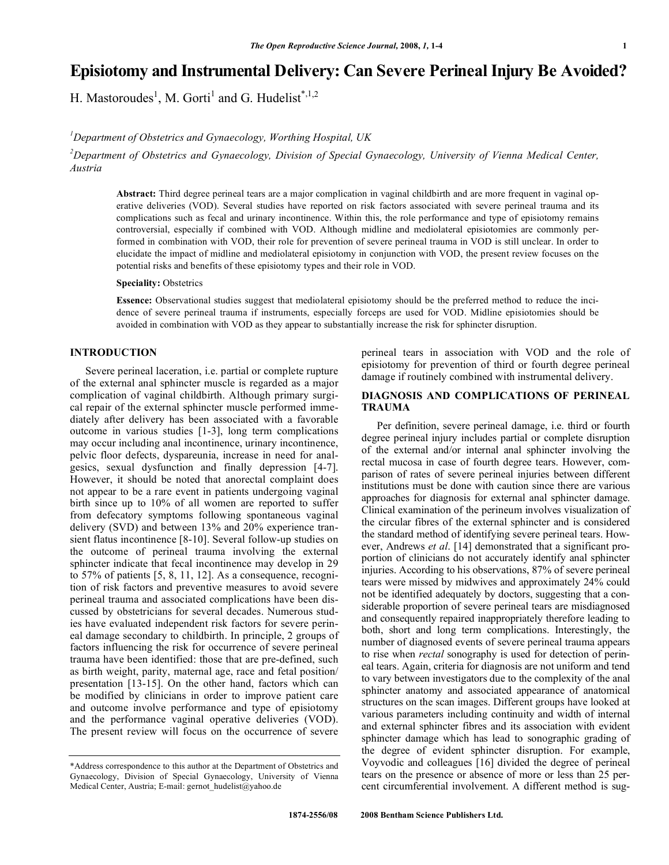# **Episiotomy and Instrumental Delivery: Can Severe Perineal Injury Be Avoided?**

H. Mastoroudes<sup>1</sup>, M. Gorti<sup>1</sup> and G. Hudelist<sup>\*,1,2</sup>

*1 Department of Obstetrics and Gynaecology, Worthing Hospital, UK* 

*2 Department of Obstetrics and Gynaecology, Division of Special Gynaecology, University of Vienna Medical Center, Austria* 

**Abstract:** Third degree perineal tears are a major complication in vaginal childbirth and are more frequent in vaginal operative deliveries (VOD). Several studies have reported on risk factors associated with severe perineal trauma and its complications such as fecal and urinary incontinence. Within this, the role performance and type of episiotomy remains controversial, especially if combined with VOD. Although midline and mediolateral episiotomies are commonly performed in combination with VOD, their role for prevention of severe perineal trauma in VOD is still unclear. In order to elucidate the impact of midline and mediolateral episiotomy in conjunction with VOD, the present review focuses on the potential risks and benefits of these episiotomy types and their role in VOD.

## **Speciality:** Obstetrics

**Essence:** Observational studies suggest that mediolateral episiotomy should be the preferred method to reduce the incidence of severe perineal trauma if instruments, especially forceps are used for VOD. Midline episiotomies should be avoided in combination with VOD as they appear to substantially increase the risk for sphincter disruption.

# **INTRODUCTION**

 Severe perineal laceration, i.e. partial or complete rupture of the external anal sphincter muscle is regarded as a major complication of vaginal childbirth. Although primary surgical repair of the external sphincter muscle performed immediately after delivery has been associated with a favorable outcome in various studies [1-3], long term complications may occur including anal incontinence, urinary incontinence, pelvic floor defects, dyspareunia, increase in need for analgesics, sexual dysfunction and finally depression [4-7]. However, it should be noted that anorectal complaint does not appear to be a rare event in patients undergoing vaginal birth since up to 10% of all women are reported to suffer from defecatory symptoms following spontaneous vaginal delivery (SVD) and between 13% and 20% experience transient flatus incontinence [8-10]. Several follow-up studies on the outcome of perineal trauma involving the external sphincter indicate that fecal incontinence may develop in 29 to 57% of patients [5, 8, 11, 12]. As a consequence, recognition of risk factors and preventive measures to avoid severe perineal trauma and associated complications have been discussed by obstetricians for several decades. Numerous studies have evaluated independent risk factors for severe perineal damage secondary to childbirth. In principle, 2 groups of factors influencing the risk for occurrence of severe perineal trauma have been identified: those that are pre-defined, such as birth weight, parity, maternal age, race and fetal position/ presentation [13-15]. On the other hand, factors which can be modified by clinicians in order to improve patient care and outcome involve performance and type of episiotomy and the performance vaginal operative deliveries (VOD). The present review will focus on the occurrence of severe

perineal tears in association with VOD and the role of episiotomy for prevention of third or fourth degree perineal damage if routinely combined with instrumental delivery.

# **DIAGNOSIS AND COMPLICATIONS OF PERINEAL TRAUMA**

 Per definition, severe perineal damage, i.e. third or fourth degree perineal injury includes partial or complete disruption of the external and/or internal anal sphincter involving the rectal mucosa in case of fourth degree tears. However, comparison of rates of severe perineal injuries between different institutions must be done with caution since there are various approaches for diagnosis for external anal sphincter damage. Clinical examination of the perineum involves visualization of the circular fibres of the external sphincter and is considered the standard method of identifying severe perineal tears. However, Andrews *et al*. [14] demonstrated that a significant proportion of clinicians do not accurately identify anal sphincter injuries. According to his observations, 87% of severe perineal tears were missed by midwives and approximately 24% could not be identified adequately by doctors, suggesting that a considerable proportion of severe perineal tears are misdiagnosed and consequently repaired inappropriately therefore leading to both, short and long term complications. Interestingly, the number of diagnosed events of severe perineal trauma appears to rise when *rectal* sonography is used for detection of perineal tears. Again, criteria for diagnosis are not uniform and tend to vary between investigators due to the complexity of the anal sphincter anatomy and associated appearance of anatomical structures on the scan images. Different groups have looked at various parameters including continuity and width of internal and external sphincter fibres and its association with evident sphincter damage which has lead to sonographic grading of the degree of evident sphincter disruption. For example, Voyvodic and colleagues [16] divided the degree of perineal tears on the presence or absence of more or less than 25 percent circumferential involvement. A different method is sug-

<sup>\*</sup>Address correspondence to this author at the Department of Obstetrics and Gynaecology, Division of Special Gynaecology, University of Vienna Medical Center, Austria; E-mail: gernot\_hudelist@yahoo.de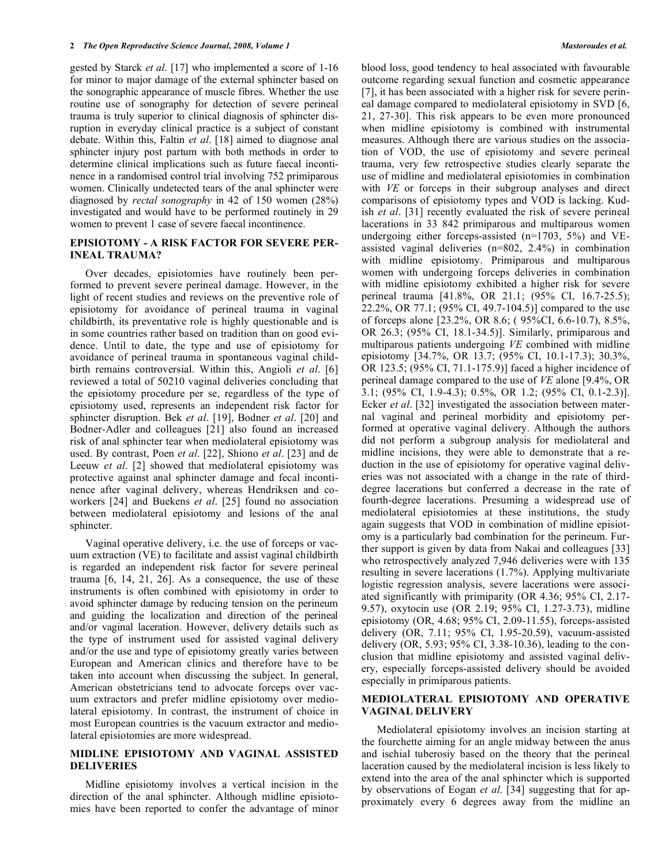gested by Starck *et al*. [17] who implemented a score of 1-16 for minor to major damage of the external sphincter based on the sonographic appearance of muscle fibres. Whether the use routine use of sonography for detection of severe perineal trauma is truly superior to clinical diagnosis of sphincter disruption in everyday clinical practice is a subject of constant debate. Within this, Faltin *et al*. [18] aimed to diagnose anal sphincter injury post partum with both methods in order to determine clinical implications such as future faecal incontinence in a randomised control trial involving 752 primiparous women. Clinically undetected tears of the anal sphincter were diagnosed by *rectal sonography* in 42 of 150 women (28%) investigated and would have to be performed routinely in 29 women to prevent 1 case of severe faecal incontinence.

#### **EPISIOTOMY - A RISK FACTOR FOR SEVERE PER-INEAL TRAUMA?**

 Over decades, episiotomies have routinely been performed to prevent severe perineal damage. However, in the light of recent studies and reviews on the preventive role of episiotomy for avoidance of perineal trauma in vaginal childbirth, its preventative role is highly questionable and is in some countries rather based on tradition than on good evidence. Until to date, the type and use of episiotomy for avoidance of perineal trauma in spontaneous vaginal childbirth remains controversial. Within this, Angioli *et al*. [6] reviewed a total of 50210 vaginal deliveries concluding that the episiotomy procedure per se, regardless of the type of episiotomy used, represents an independent risk factor for sphincter disruption. Bek *et al*. [19], Bodner *et al*. [20] and Bodner-Adler and colleagues [21] also found an increased risk of anal sphincter tear when mediolateral episiotomy was used. By contrast, Poen *et al*. [22], Shiono *et al*. [23] and de Leeuw *et al*. [2] showed that mediolateral episiotomy was protective against anal sphincter damage and fecal incontinence after vaginal delivery, whereas Hendriksen and coworkers [24] and Buekens *et al*. [25] found no association between mediolateral episiotomy and lesions of the anal sphincter.

 Vaginal operative delivery, i.e. the use of forceps or vacuum extraction (VE) to facilitate and assist vaginal childbirth is regarded an independent risk factor for severe perineal trauma  $[6, 14, 21, 26]$ . As a consequence, the use of these instruments is often combined with episiotomy in order to avoid sphincter damage by reducing tension on the perineum and guiding the localization and direction of the perineal and/or vaginal laceration. However, delivery details such as the type of instrument used for assisted vaginal delivery and/or the use and type of episiotomy greatly varies between European and American clinics and therefore have to be taken into account when discussing the subject. In general, American obstetricians tend to advocate forceps over vacuum extractors and prefer midline episiotomy over mediolateral episiotomy. In contrast, the instrument of choice in most European countries is the vacuum extractor and mediolateral episiotomies are more widespread.

#### **MIDLINE EPISIOTOMY AND VAGINAL ASSISTED DELIVERIES**

 Midline episiotomy involves a vertical incision in the direction of the anal sphincter. Although midline episiotomies have been reported to confer the advantage of minor

blood loss, good tendency to heal associated with favourable outcome regarding sexual function and cosmetic appearance [7], it has been associated with a higher risk for severe perineal damage compared to mediolateral episiotomy in SVD [6, 21, 27-30]. This risk appears to be even more pronounced when midline episiotomy is combined with instrumental measures. Although there are various studies on the association of VOD, the use of episiotomy and severe perineal trauma, very few retrospective studies clearly separate the use of midline and mediolateral episiotomies in combination with *VE* or forceps in their subgroup analyses and direct comparisons of episiotomy types and VOD is lacking. Kudish *et al*. [31] recently evaluated the risk of severe perineal lacerations in 33 842 primiparous and multiparous women undergoing either forceps-assisted (n=1703, 5%) and VEassisted vaginal deliveries (n=802, 2.4%) in combination with midline episiotomy. Primiparous and multiparous women with undergoing forceps deliveries in combination with midline episiotomy exhibited a higher risk for severe perineal trauma [41.8%, OR 21.1; (95% CI, 16.7-25.5); 22.2%, OR 77.1; (95% CI, 49.7-104.5)] compared to the use of forceps alone [23.2%, OR 8.6; ( 95%CI, 6.6-10.7), 8.5%, OR 26.3; (95% CI, 18.1-34.5)]. Similarly, primiparous and multiparous patients undergoing *VE* combined with midline episiotomy [34.7%, OR 13.7; (95% CI, 10.1-17.3); 30.3%, OR 123.5; (95% CI, 71.1-175.9)] faced a higher incidence of perineal damage compared to the use of *VE* alone [9.4%, OR 3.1; (95% CI, 1.9-4.3); 0.5%, OR 1.2; (95% CI, 0.1-2.3)]. Ecker *et al*. [32] investigated the association between maternal vaginal and perineal morbidity and episiotomy performed at operative vaginal delivery. Although the authors did not perform a subgroup analysis for mediolateral and midline incisions, they were able to demonstrate that a reduction in the use of episiotomy for operative vaginal deliveries was not associated with a change in the rate of thirddegree lacerations but conferred a decrease in the rate of fourth-degree lacerations. Presuming a widespread use of mediolateral episiotomies at these institutions, the study again suggests that VOD in combination of midline episiotomy is a particularly bad combination for the perineum. Further support is given by data from Nakai and colleagues [33] who retrospectively analyzed 7,946 deliveries were with 135 resulting in severe lacerations (1.7%). Applying multivariate logistic regression analysis, severe lacerations were associated significantly with primiparity (OR 4.36; 95% CI, 2.17- 9.57), oxytocin use (OR 2.19; 95% CI, 1.27-3.73), midline episiotomy (OR, 4.68; 95% CI, 2.09-11.55), forceps-assisted delivery (OR, 7.11; 95% CI, 1.95-20.59), vacuum-assisted delivery (OR, 5.93; 95% CI, 3.38-10.36), leading to the conclusion that midline episiotomy and assisted vaginal delivery, especially forceps-assisted delivery should be avoided especially in primiparous patients.

## **MEDIOLATERAL EPISIOTOMY AND OPERATIVE VAGINAL DELIVERY**

 Mediolateral episiotomy involves an incision starting at the fourchette aiming for an angle midway between the anus and ischial tuberosiy based on the theory that the perineal laceration caused by the mediolateral incision is less likely to extend into the area of the anal sphincter which is supported by observations of Eogan *et al*. [34] suggesting that for approximately every 6 degrees away from the midline an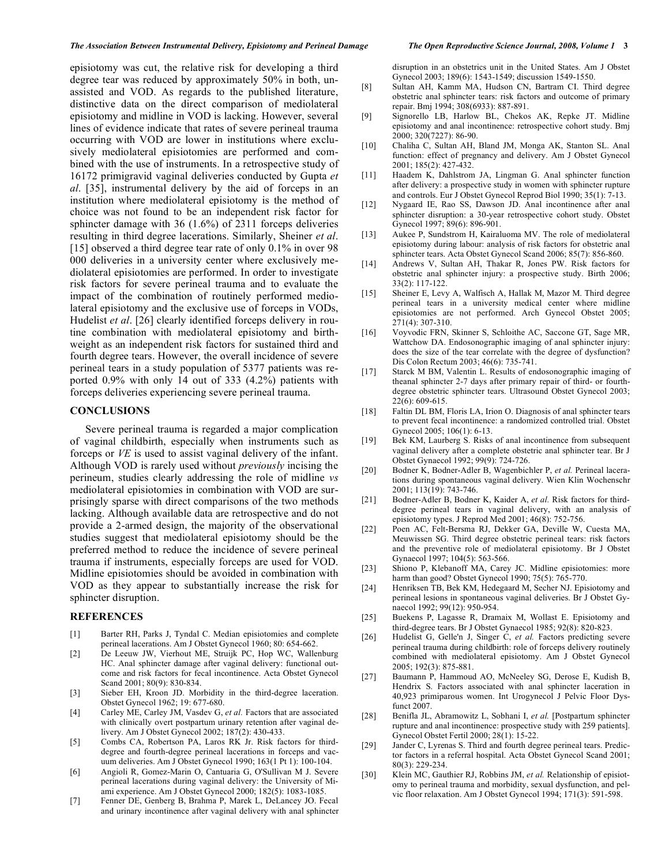episiotomy was cut, the relative risk for developing a third degree tear was reduced by approximately 50% in both, unassisted and VOD. As regards to the published literature, distinctive data on the direct comparison of mediolateral episiotomy and midline in VOD is lacking. However, several lines of evidence indicate that rates of severe perineal trauma occurring with VOD are lower in institutions where exclusively mediolateral episiotomies are performed and combined with the use of instruments. In a retrospective study of 16172 primigravid vaginal deliveries conducted by Gupta *et al*. [35], instrumental delivery by the aid of forceps in an institution where mediolateral episiotomy is the method of choice was not found to be an independent risk factor for sphincter damage with 36 (1.6%) of 2311 forceps deliveries resulting in third degree lacerations. Similarly, Sheiner *et al*. [15] observed a third degree tear rate of only 0.1% in over 98 000 deliveries in a university center where exclusively mediolateral episiotomies are performed. In order to investigate risk factors for severe perineal trauma and to evaluate the impact of the combination of routinely performed mediolateral episiotomy and the exclusive use of forceps in VODs, Hudelist *et al*. [26] clearly identified forceps delivery in routine combination with mediolateral episiotomy and birthweight as an independent risk factors for sustained third and fourth degree tears. However, the overall incidence of severe perineal tears in a study population of 5377 patients was reported 0.9% with only 14 out of 333 (4.2%) patients with forceps deliveries experiencing severe perineal trauma.

#### **CONCLUSIONS**

 Severe perineal trauma is regarded a major complication of vaginal childbirth, especially when instruments such as forceps or *VE* is used to assist vaginal delivery of the infant. Although VOD is rarely used without *previously* incising the perineum, studies clearly addressing the role of midline *vs* mediolateral episiotomies in combination with VOD are surprisingly sparse with direct comparisons of the two methods lacking. Although available data are retrospective and do not provide a 2-armed design, the majority of the observational studies suggest that mediolateral episiotomy should be the preferred method to reduce the incidence of severe perineal trauma if instruments, especially forceps are used for VOD. Midline episiotomies should be avoided in combination with VOD as they appear to substantially increase the risk for sphincter disruption.

#### **REFERENCES**

- [1] Barter RH, Parks J, Tyndal C. Median episiotomies and complete perineal lacerations. Am J Obstet Gynecol 1960; 80: 654-662.
- [2] De Leeuw JW, Vierhout ME, Struijk PC, Hop WC, Wallenburg HC. Anal sphincter damage after vaginal delivery: functional outcome and risk factors for fecal incontinence. Acta Obstet Gynecol Scand 2001; 80(9): 830-834.
- [3] Sieber EH, Kroon JD. Morbidity in the third-degree laceration. Obstet Gynecol 1962; 19: 677-680.
- [4] Carley ME, Carley JM, Vasdev G, *et al.* Factors that are associated with clinically overt postpartum urinary retention after vaginal delivery. Am J Obstet Gynecol 2002; 187(2): 430-433.
- [5] Combs CA, Robertson PA, Laros RK Jr. Risk factors for thirddegree and fourth-degree perineal lacerations in forceps and vacuum deliveries. Am J Obstet Gynecol 1990; 163(1 Pt 1): 100-104.
- [6] Angioli R, Gomez-Marin O, Cantuaria G, O'Sullivan M J. Severe perineal lacerations during vaginal delivery: the University of Miami experience. Am J Obstet Gynecol 2000; 182(5): 1083-1085.
- [7] Fenner DE, Genberg B, Brahma P, Marek L, DeLancey JO. Fecal and urinary incontinence after vaginal delivery with anal sphincter

disruption in an obstetrics unit in the United States. Am J Obstet Gynecol 2003; 189(6): 1543-1549; discussion 1549-1550.

- [8] Sultan AH, Kamm MA, Hudson CN, Bartram CI. Third degree obstetric anal sphincter tears: risk factors and outcome of primary repair. Bmj 1994; 308(6933): 887-891.
- [9] Signorello LB, Harlow BL, Chekos AK, Repke JT. Midline episiotomy and anal incontinence: retrospective cohort study. Bmj 2000; 320(7227): 86-90.
- [10] Chaliha C, Sultan AH, Bland JM, Monga AK, Stanton SL. Anal function: effect of pregnancy and delivery. Am J Obstet Gynecol 2001; 185(2): 427-432.
- [11] Haadem K, Dahlstrom JA, Lingman G. Anal sphincter function after delivery: a prospective study in women with sphincter rupture and controls. Eur J Obstet Gynecol Reprod Biol 1990; 35(1): 7-13.
- [12] Nygaard IE, Rao SS, Dawson JD. Anal incontinence after anal sphincter disruption: a 30-year retrospective cohort study. Obstet Gynecol 1997; 89(6): 896-901.
- [13] Aukee P, Sundstrom H, Kairaluoma MV. The role of mediolateral episiotomy during labour: analysis of risk factors for obstetric anal sphincter tears. Acta Obstet Gynecol Scand 2006; 85(7): 856-860.
- [14] Andrews V, Sultan AH, Thakar R, Jones PW. Risk factors for obstetric anal sphincter injury: a prospective study. Birth 2006; 33(2): 117-122.
- [15] Sheiner E, Levy A, Walfisch A, Hallak M, Mazor M. Third degree perineal tears in a university medical center where midline episiotomies are not performed. Arch Gynecol Obstet 2005;  $271(4)$ : 307-310.
- [16] Voyvodic FRN, Skinner S, Schloithe AC, Saccone GT, Sage MR, Wattchow DA. Endosonographic imaging of anal sphincter injury: does the size of the tear correlate with the degree of dysfunction? Dis Colon Rectum 2003; 46(6): 735-741.
- [17] Starck M BM, Valentin L. Results of endosonographic imaging of theanal sphincter 2-7 days after primary repair of third- or fourthdegree obstetric sphincter tears. Ultrasound Obstet Gynecol 2003;  $22(6)$ : 609-615.
- [18] Faltin DL BM, Floris LA, Irion O. Diagnosis of anal sphincter tears to prevent fecal incontinence: a randomized controlled trial. Obstet Gynecol 2005; 106(1): 6-13.
- [19] Bek KM, Laurberg S. Risks of anal incontinence from subsequent vaginal delivery after a complete obstetric anal sphincter tear. Br J Obstet Gynaecol 1992; 99(9): 724-726.
- [20] Bodner K, Bodner-Adler B, Wagenbichler P, *et al.* Perineal lacerations during spontaneous vaginal delivery. Wien Klin Wochenschr 2001; 113(19): 743-746.
- [21] Bodner-Adler B, Bodner K, Kaider A, et al. Risk factors for thirddegree perineal tears in vaginal delivery, with an analysis of episiotomy types. J Reprod Med 2001; 46(8): 752-756.
- [22] Poen AC, Felt-Bersma RJ, Dekker GA, Deville W, Cuesta MA, Meuwissen SG. Third degree obstetric perineal tears: risk factors and the preventive role of mediolateral episiotomy. Br J Obstet Gynaecol 1997; 104(5): 563-566.
- [23] Shiono P, Klebanoff MA, Carey JC. Midline episiotomies: more harm than good? Obstet Gynecol 1990; 75(5): 765-770.
- [24] Henriksen TB, Bek KM, Hedegaard M, Secher NJ. Episiotomy and perineal lesions in spontaneous vaginal deliveries. Br J Obstet Gynaecol 1992; 99(12): 950-954.
- [25] Buekens P, Lagasse R, Dramaix M, Wollast E. Episiotomy and third-degree tears. Br J Obstet Gynaecol 1985; 92(8): 820-823.
- [26] Hudelist G, Gelle'n J, Singer C, *et al.* Factors predicting severe perineal trauma during childbirth: role of forceps delivery routinely combined with mediolateral episiotomy. Am J Obstet Gynecol 2005; 192(3): 875-881.
- [27] Baumann P, Hammoud AO, McNeeley SG, Derose E, Kudish B, Hendrix S. Factors associated with anal sphincter laceration in 40,923 primiparous women. Int Urogynecol J Pelvic Floor Dysfunct 2007.
- [28] Benifla JL, Abramowitz L, Sobhani I, *et al.* [Postpartum sphincter rupture and anal incontinence: prospective study with 259 patients]. Gynecol Obstet Fertil 2000; 28(1): 15-22.
- [29] Jander C, Lyrenas S. Third and fourth degree perineal tears. Predictor factors in a referral hospital. Acta Obstet Gynecol Scand 2001; 80(3): 229-234.
- [30] Klein MC, Gauthier RJ, Robbins JM, et al. Relationship of episiotomy to perineal trauma and morbidity, sexual dysfunction, and pelvic floor relaxation. Am J Obstet Gynecol 1994; 171(3): 591-598.